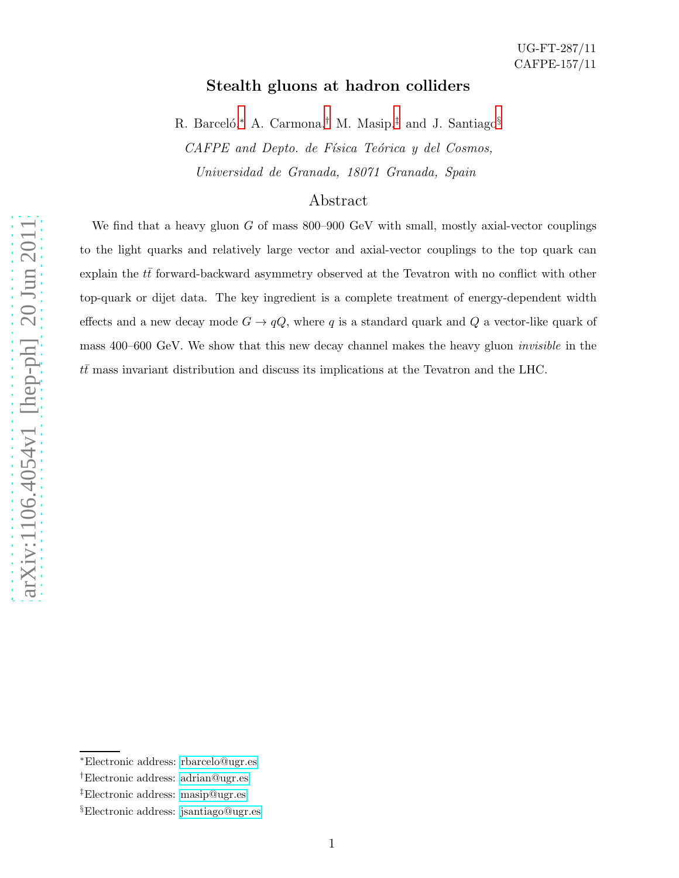## Stealth gluons at hadron colliders

R. Barceló,\* A. Carmona,<sup>[†](#page-0-1)</sup> M. Masip,<sup>[‡](#page-0-2)</sup> and J. Santiago<sup>[§](#page-0-3)</sup>  $CAFPE$  and Depto. de Física Teórica y del Cosmos, Universidad de Granada, 18071 Granada, Spain

# Abstract

We find that a heavy gluon G of mass 800–900 GeV with small, mostly axial-vector couplings to the light quarks and relatively large vector and axial-vector couplings to the top quark can explain the  $t\bar{t}$  forward-backward asymmetry observed at the Tevatron with no conflict with other top-quark or dijet data. The key ingredient is a complete treatment of energy-dependent width effects and a new decay mode  $G \to qQ$ , where q is a standard quark and Q a vector-like quark of mass 400–600 GeV. We show that this new decay channel makes the heavy gluon invisible in the  $tt$  mass invariant distribution and discuss its implications at the Tevatron and the LHC.

<span id="page-0-2"></span><span id="page-0-1"></span><span id="page-0-0"></span><sup>†</sup>Electronic address: [adrian@ugr.es](mailto:adrian@ugr.es)

<span id="page-0-3"></span><sup>‡</sup>Electronic address: [masip@ugr.es](mailto:masip@ugr.es)

<sup>§</sup>Electronic address: [jsantiago@ugr.es](mailto:jsantiago@ugr.es)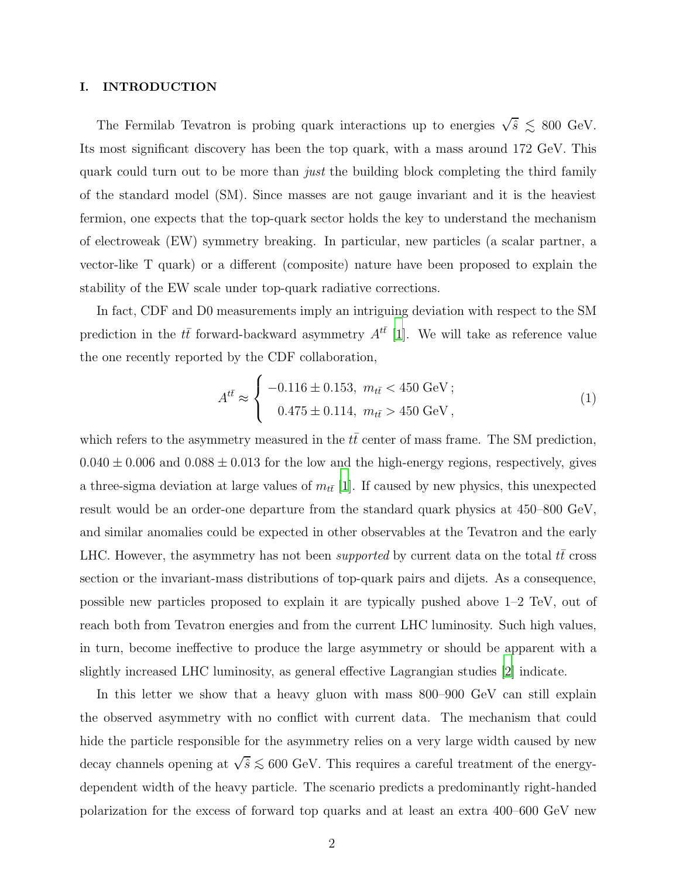#### I. INTRODUCTION

The Fermilab Tevatron is probing quark interactions up to energies  $\sqrt{\hat{s}} \leq 800$  GeV. Its most significant discovery has been the top quark, with a mass around 172 GeV. This quark could turn out to be more than *just* the building block completing the third family of the standard model (SM). Since masses are not gauge invariant and it is the heaviest fermion, one expects that the top-quark sector holds the key to understand the mechanism of electroweak (EW) symmetry breaking. In particular, new particles (a scalar partner, a vector-like T quark) or a different (composite) nature have been proposed to explain the stability of the EW scale under top-quark radiative corrections.

In fact, CDF and D0 measurements imply an intriguing deviation with respect to the SM prediction in the  $t\bar{t}$  forward-backward asymmetry  $A^{t\bar{t}}$  [\[1\]](#page-8-0). We will take as reference value the one recently reported by the CDF collaboration,

$$
A^{t\bar{t}} \approx \begin{cases} -0.116 \pm 0.153, \ m_{t\bar{t}} < 450 \text{ GeV};\\ 0.475 \pm 0.114, \ m_{t\bar{t}} > 450 \text{ GeV}, \end{cases} \tag{1}
$$

which refers to the asymmetry measured in the  $t\bar{t}$  center of mass frame. The SM prediction,  $0.040 \pm 0.006$  and  $0.088 \pm 0.013$  for the low and the high-energy regions, respectively, gives a three-sigma deviation at large values of  $m<sub>t</sub>$  [\[1](#page-8-0)]. If caused by new physics, this unexpected result would be an order-one departure from the standard quark physics at 450–800 GeV, and similar anomalies could be expected in other observables at the Tevatron and the early LHC. However, the asymmetry has not been *supported* by current data on the total  $tt$  cross section or the invariant-mass distributions of top-quark pairs and dijets. As a consequence, possible new particles proposed to explain it are typically pushed above 1–2 TeV, out of reach both from Tevatron energies and from the current LHC luminosity. Such high values, in turn, become ineffective to produce the large asymmetry or should be apparent with a slightly increased LHC luminosity, as general effective Lagrangian studies [\[2](#page-8-1)] indicate.

In this letter we show that a heavy gluon with mass 800–900 GeV can still explain the observed asymmetry with no conflict with current data. The mechanism that could hide the particle responsible for the asymmetry relies on a very large width caused by new decay channels opening at  $\sqrt{\hat{s}} \leq 600$  GeV. This requires a careful treatment of the energydependent width of the heavy particle. The scenario predicts a predominantly right-handed polarization for the excess of forward top quarks and at least an extra 400–600 GeV new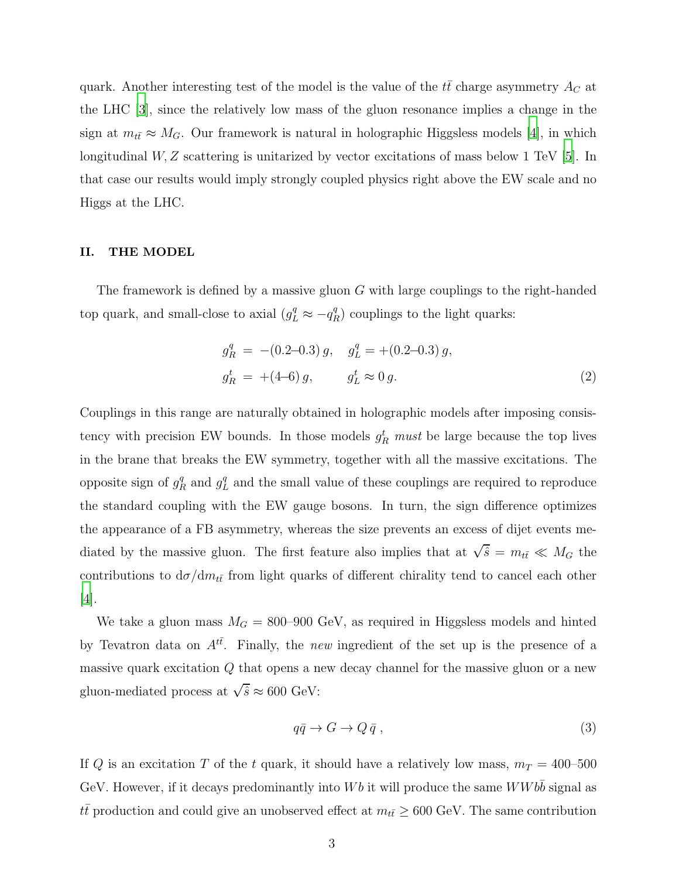quark. Another interesting test of the model is the value of the  $t\bar{t}$  charge asymmetry  $A_C$  at the LHC [\[3](#page-9-0)], since the relatively low mass of the gluon resonance implies a change in the sign at  $m_{t\bar{t}} \approx M_G$ . Our framework is natural in holographic Higgsless models [\[4\]](#page-9-1), in which longitudinal W, Z scattering is unitarized by vector excitations of mass below 1 TeV [\[5\]](#page-9-2). In that case our results would imply strongly coupled physics right above the EW scale and no Higgs at the LHC.

#### II. THE MODEL

The framework is defined by a massive gluon G with large couplings to the right-handed top quark, and small-close to axial  $(g_L^q \approx -q_L^q)$  $R_R^q$ ) couplings to the light quarks:

<span id="page-2-0"></span>
$$
g_R^q = -(0.2 - 0.3) g, \quad g_L^q = +(0.2 - 0.3) g,
$$
  

$$
g_R^t = +(4 - 6) g, \quad g_L^t \approx 0 g.
$$
 (2)

Couplings in this range are naturally obtained in holographic models after imposing consistency with precision EW bounds. In those models  $g_R^t$  must be large because the top lives in the brane that breaks the EW symmetry, together with all the massive excitations. The opposite sign of  $g_F^q$  $\frac{q}{R}$  and  $g_L^q$  $L<sup>q</sup>$  and the small value of these couplings are required to reproduce the standard coupling with the EW gauge bosons. In turn, the sign difference optimizes the appearance of a FB asymmetry, whereas the size prevents an excess of dijet events mediated by the massive gluon. The first feature also implies that at  $\sqrt{\hat{s}} = m_{t\bar{t}} \ll M_G$  the contributions to  $d\sigma/dm_{t\bar{t}}$  from light quarks of different chirality tend to cancel each other [\[4](#page-9-1)].

We take a gluon mass  $M_G = 800-900$  GeV, as required in Higgsless models and hinted by Tevatron data on  $A^{t\bar{t}}$ . Finally, the new ingredient of the set up is the presence of a massive quark excitation  $Q$  that opens a new decay channel for the massive gluon or a new gluon-mediated process at  $\sqrt{\hat{s}} \approx 600 \text{ GeV}$ :

$$
q\bar{q} \to G \to Q\bar{q} \ , \tag{3}
$$

If Q is an excitation T of the t quark, it should have a relatively low mass,  $m_T = 400-500$ GeV. However, if it decays predominantly into  $Wb$  it will produce the same  $WWbb$  signal as  $t\bar{t}$  production and could give an unobserved effect at  $m_{t\bar{t}} \geq 600 \text{ GeV}$ . The same contribution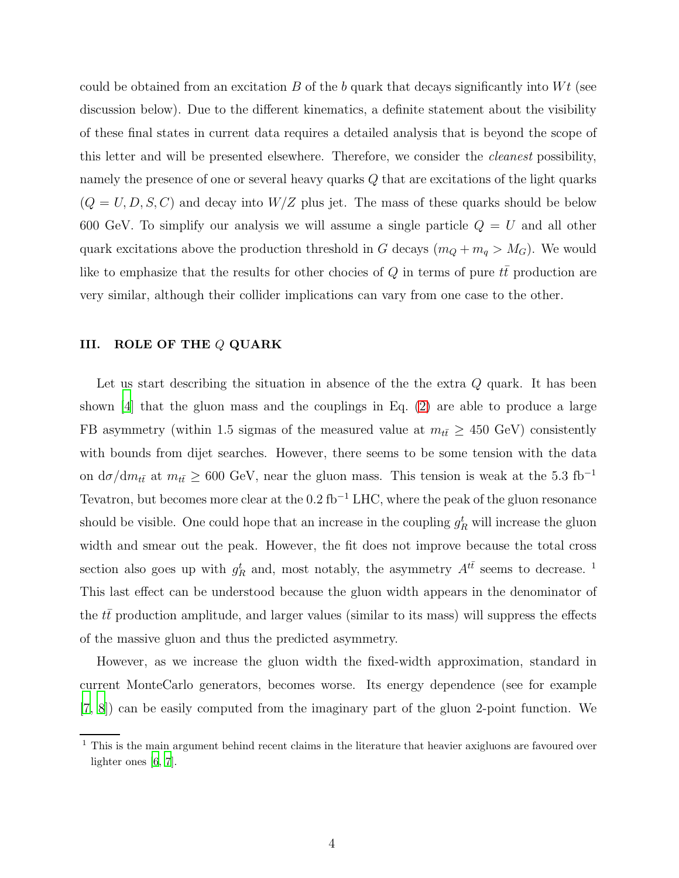could be obtained from an excitation B of the b quark that decays significantly into  $Wt$  (see discussion below). Due to the different kinematics, a definite statement about the visibility of these final states in current data requires a detailed analysis that is beyond the scope of this letter and will be presented elsewhere. Therefore, we consider the cleanest possibility, namely the presence of one or several heavy quarks Q that are excitations of the light quarks  $(Q = U, D, S, C)$  and decay into  $W/Z$  plus jet. The mass of these quarks should be below 600 GeV. To simplify our analysis we will assume a single particle  $Q = U$  and all other quark excitations above the production threshold in G decays  $(m_Q + m_q > M_G)$ . We would like to emphasize that the results for other chocies of Q in terms of pure  $t\bar{t}$  production are very similar, although their collider implications can vary from one case to the other.

#### III. ROLE OF THE Q QUARK

Let us start describing the situation in absence of the the extra Q quark. It has been shown [\[4\]](#page-9-1) that the gluon mass and the couplings in Eq. [\(2\)](#page-2-0) are able to produce a large FB asymmetry (within 1.5 sigmas of the measured value at  $m_{t\bar{t}} \geq 450$  GeV) consistently with bounds from dijet searches. However, there seems to be some tension with the data on  $d\sigma/dm_{t\bar{t}}$  at  $m_{t\bar{t}}\geq 600$  GeV, near the gluon mass. This tension is weak at the 5.3 fb<sup>-1</sup> Tevatron, but becomes more clear at the  $0.2$  fb<sup>-1</sup> LHC, where the peak of the gluon resonance should be visible. One could hope that an increase in the coupling  $g_R^t$  will increase the gluon width and smear out the peak. However, the fit does not improve because the total cross section also goes up with  $g_R^t$  and, most notably, the asymmetry  $A^{t\bar{t}}$  seems to decrease.<sup>1</sup> This last effect can be understood because the gluon width appears in the denominator of the  $tt$  production amplitude, and larger values (similar to its mass) will suppress the effects of the massive gluon and thus the predicted asymmetry.

However, as we increase the gluon width the fixed-width approximation, standard in current MonteCarlo generators, becomes worse. Its energy dependence (see for example [\[7](#page-9-3), [8\]](#page-9-4)) can be easily computed from the imaginary part of the gluon 2-point function. We

 $1$ . This is the main argument behind recent claims in the literature that heavier axigluons are favoured over lighter ones [\[6](#page-9-5), [7](#page-9-3)].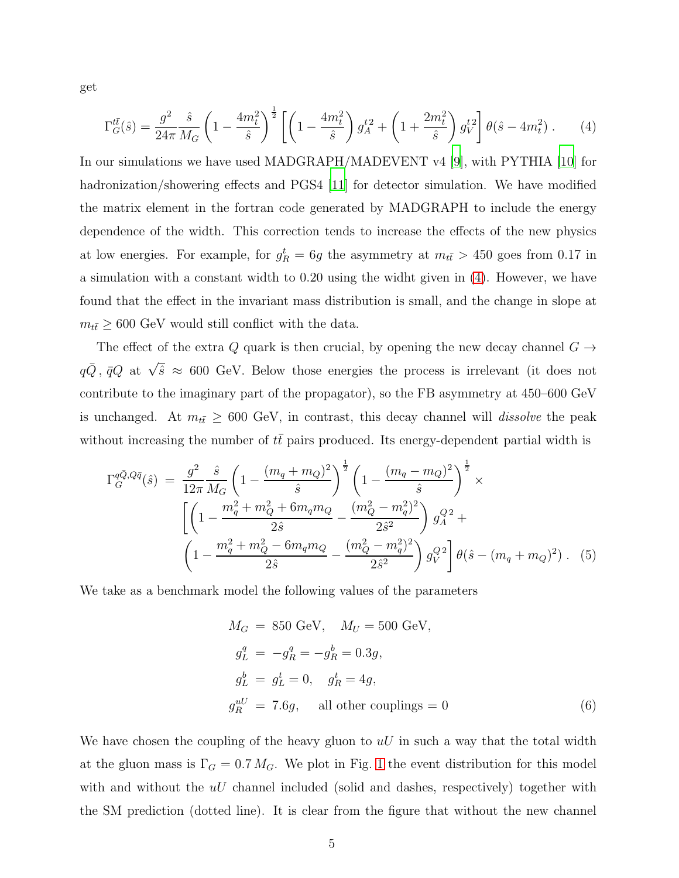get

<span id="page-4-0"></span>
$$
\Gamma_G^{t\bar{t}}(\hat{s}) = \frac{g^2}{24\pi} \frac{\hat{s}}{M_G} \left( 1 - \frac{4m_t^2}{\hat{s}} \right)^{\frac{1}{2}} \left[ \left( 1 - \frac{4m_t^2}{\hat{s}} \right) g_A^{t2} + \left( 1 + \frac{2m_t^2}{\hat{s}} \right) g_V^{t2} \right] \theta(\hat{s} - 4m_t^2) \,. \tag{4}
$$

In our simulations we have used MADGRAPH/MADEVENT v4 [\[9](#page-9-6)], with PYTHIA [\[10](#page-9-7)] for hadronization/showering effects and PGS4 [\[11\]](#page-9-8) for detector simulation. We have modified the matrix element in the fortran code generated by MADGRAPH to include the energy dependence of the width. This correction tends to increase the effects of the new physics at low energies. For example, for  $g_R^t = 6g$  the asymmetry at  $m_{t\bar{t}} > 450$  goes from 0.17 in a simulation with a constant width to 0.20 using the widht given in [\(4\)](#page-4-0). However, we have found that the effect in the invariant mass distribution is small, and the change in slope at  $m_{t\bar{t}} \geq 600$  GeV would still conflict with the data.

The effect of the extra Q quark is then crucial, by opening the new decay channel  $G \rightarrow$  $q\bar{Q}$ ,  $\bar{q}Q$  at  $\sqrt{\hat{s}} \approx 600$  GeV. Below those energies the process is irrelevant (it does not contribute to the imaginary part of the propagator), so the FB asymmetry at 450–600 GeV is unchanged. At  $m_{t\bar{t}} \geq 600 \text{ GeV}$ , in contrast, this decay channel will *dissolve* the peak without increasing the number of  $t\bar{t}$  pairs produced. Its energy-dependent partial width is

$$
\Gamma_G^{q\bar{Q},Q\bar{q}}(\hat{s}) = \frac{g^2}{12\pi} \frac{\hat{s}}{M_G} \left( 1 - \frac{(m_q + m_Q)^2}{\hat{s}} \right)^{\frac{1}{2}} \left( 1 - \frac{(m_q - m_Q)^2}{\hat{s}} \right)^{\frac{1}{2}} \times \left[ \left( 1 - \frac{m_q^2 + m_Q^2 + 6m_qm_Q}{2\hat{s}} - \frac{(m_Q^2 - m_q^2)^2}{2\hat{s}^2} \right) g_A^Q{}^2 + \left( 1 - \frac{m_q^2 + m_Q^2 - 6m_qm_Q}{2\hat{s}} - \frac{(m_Q^2 - m_q^2)^2}{2\hat{s}^2} \right) g_V^Q{}^2 \right] \theta(\hat{s} - (m_q + m_Q)^2) . \tag{5}
$$

We take as a benchmark model the following values of the parameters

<span id="page-4-1"></span>
$$
M_G = 850 \text{ GeV}, \quad M_U = 500 \text{ GeV},
$$
  
\n
$$
g_L^q = -g_R^q = -g_R^b = 0.3g,
$$
  
\n
$$
g_L^b = g_L^t = 0, \quad g_R^t = 4g,
$$
  
\n
$$
g_R^{uU} = 7.6g, \quad \text{all other couplings} = 0
$$
\n(6)

We have chosen the coupling of the heavy gluon to  $uU$  in such a way that the total width at the gluon mass is  $\Gamma_G = 0.7 M_G$ . We plot in Fig. [1](#page-5-0) the event distribution for this model with and without the  $uU$  channel included (solid and dashes, respectively) together with the SM prediction (dotted line). It is clear from the figure that without the new channel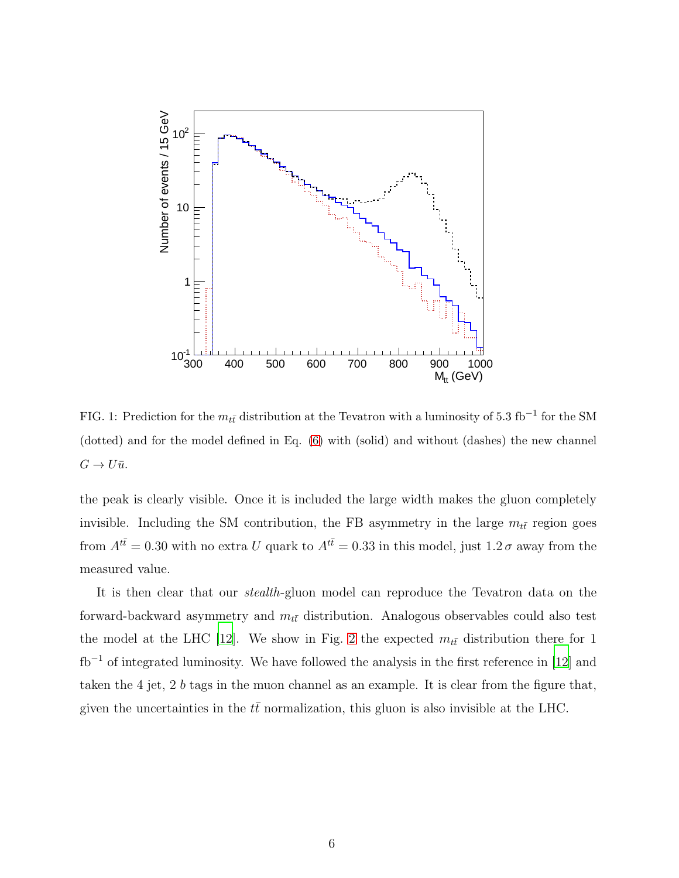

<span id="page-5-0"></span>FIG. 1: Prediction for the  $m_{t\bar{t}}$  distribution at the Tevatron with a luminosity of 5.3 fb<sup>-1</sup> for the SM (dotted) and for the model defined in Eq. [\(6\)](#page-4-1) with (solid) and without (dashes) the new channel  $G \to U\bar{u}.$ 

the peak is clearly visible. Once it is included the large width makes the gluon completely invisible. Including the SM contribution, the FB asymmetry in the large  $m_{t\bar{t}}$  region goes from  $A^{t\bar{t}} = 0.30$  with no extra U quark to  $A^{t\bar{t}} = 0.33$  in this model, just  $1.2 \sigma$  away from the measured value.

It is then clear that our stealth-gluon model can reproduce the Tevatron data on the forward-backward asymmetry and  $m_{t\bar{t}}$  distribution. Analogous observables could also test the model at the LHC [\[12\]](#page-9-9). We show in Fig. [2](#page-7-0) the expected  $m_{t\bar{t}}$  distribution there for 1  $fb^{-1}$  of integrated luminosity. We have followed the analysis in the first reference in [\[12\]](#page-9-9) and taken the 4 jet, 2 b tags in the muon channel as an example. It is clear from the figure that, given the uncertainties in the  $t\bar{t}$  normalization, this gluon is also invisible at the LHC.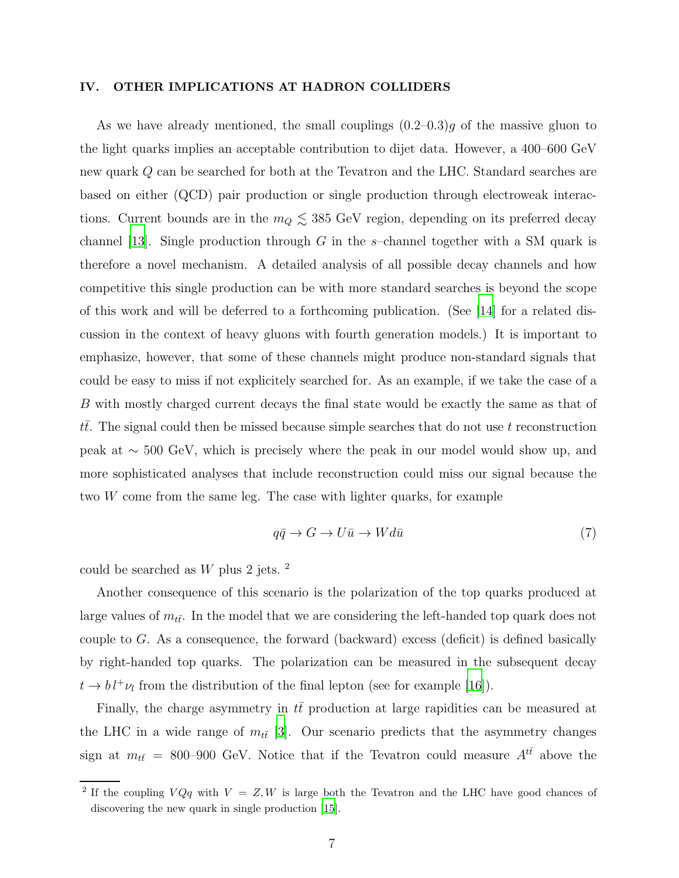#### IV. OTHER IMPLICATIONS AT HADRON COLLIDERS

As we have already mentioned, the small couplings  $(0.2-0.3)g$  of the massive gluon to the light quarks implies an acceptable contribution to dijet data. However, a 400–600 GeV new quark Q can be searched for both at the Tevatron and the LHC. Standard searches are based on either (QCD) pair production or single production through electroweak interactions. Current bounds are in the  $m_Q \lesssim 385$  GeV region, depending on its preferred decay channel [\[13](#page-10-0)]. Single production through G in the s-channel together with a SM quark is therefore a novel mechanism. A detailed analysis of all possible decay channels and how competitive this single production can be with more standard searches is beyond the scope of this work and will be deferred to a forthcoming publication. (See [\[14](#page-10-1)] for a related discussion in the context of heavy gluons with fourth generation models.) It is important to emphasize, however, that some of these channels might produce non-standard signals that could be easy to miss if not explicitely searched for. As an example, if we take the case of a B with mostly charged current decays the final state would be exactly the same as that of  $t\bar{t}$ . The signal could then be missed because simple searches that do not use t reconstruction peak at ∼ 500 GeV, which is precisely where the peak in our model would show up, and more sophisticated analyses that include reconstruction could miss our signal because the two W come from the same leg. The case with lighter quarks, for example

$$
q\bar{q} \to G \to U\bar{u} \to Wd\bar{u} \tag{7}
$$

could be searched as  $W$  plus 2 jets.  $2$ 

Another consequence of this scenario is the polarization of the top quarks produced at large values of  $m_{t\bar{t}}$ . In the model that we are considering the left-handed top quark does not couple to  $G$ . As a consequence, the forward (backward) excess (deficit) is defined basically by right-handed top quarks. The polarization can be measured in the subsequent decay  $t \to b l^+ \nu_l$  from the distribution of the final lepton (see for example [\[16\]](#page-10-2)).

Finally, the charge asymmetry in  $t\bar{t}$  production at large rapidities can be measured at the LHC in a wide range of  $m_{t\bar{t}}$  [\[3](#page-9-0)]. Our scenario predicts that the asymmetry changes sign at  $m_{t\bar{t}} = 800$ -900 GeV. Notice that if the Tevatron could measure  $A^{t\bar{t}}$  above the

<sup>&</sup>lt;sup>2</sup> If the coupling  $VQq$  with  $V = Z, W$  is large both the Tevatron and the LHC have good chances of discovering the new quark in single production [\[15\]](#page-10-3).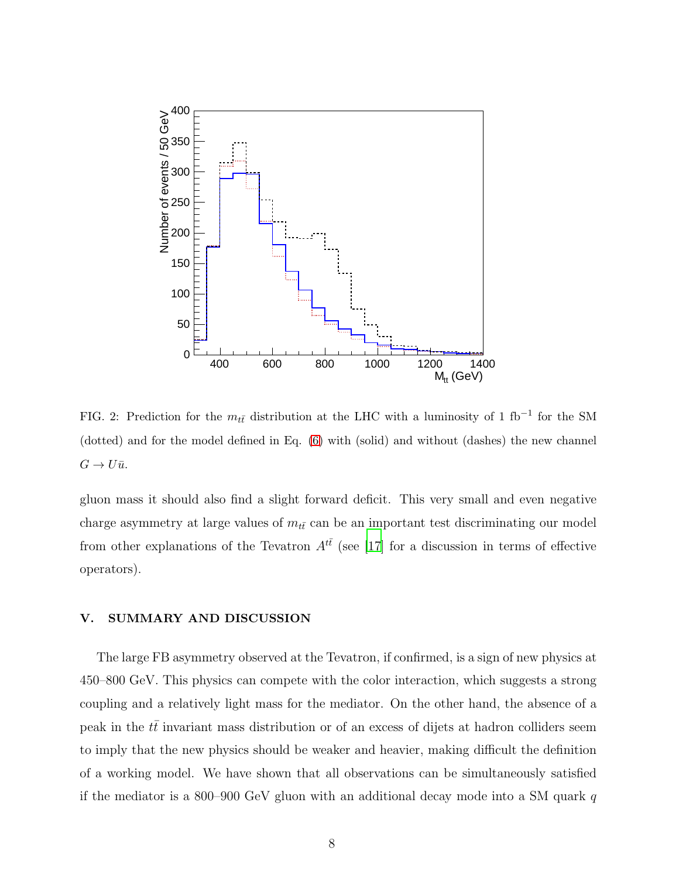

<span id="page-7-0"></span>FIG. 2: Prediction for the  $m_{t\bar{t}}$  distribution at the LHC with a luminosity of 1 fb<sup>-1</sup> for the SM (dotted) and for the model defined in Eq. [\(6\)](#page-4-1) with (solid) and without (dashes) the new channel  $G \to U\bar{u}.$ 

gluon mass it should also find a slight forward deficit. This very small and even negative charge asymmetry at large values of  $m_{t\bar{t}}$  can be an important test discriminating our model from other explanations of the Tevatron  $A^{t\bar{t}}$  (see [\[17\]](#page-10-4) for a discussion in terms of effective operators).

## V. SUMMARY AND DISCUSSION

The large FB asymmetry observed at the Tevatron, if confirmed, is a sign of new physics at 450–800 GeV. This physics can compete with the color interaction, which suggests a strong coupling and a relatively light mass for the mediator. On the other hand, the absence of a peak in the  $t\bar{t}$  invariant mass distribution or of an excess of dijets at hadron colliders seem to imply that the new physics should be weaker and heavier, making difficult the definition of a working model. We have shown that all observations can be simultaneously satisfied if the mediator is a 800–900 GeV gluon with an additional decay mode into a SM quark  $q$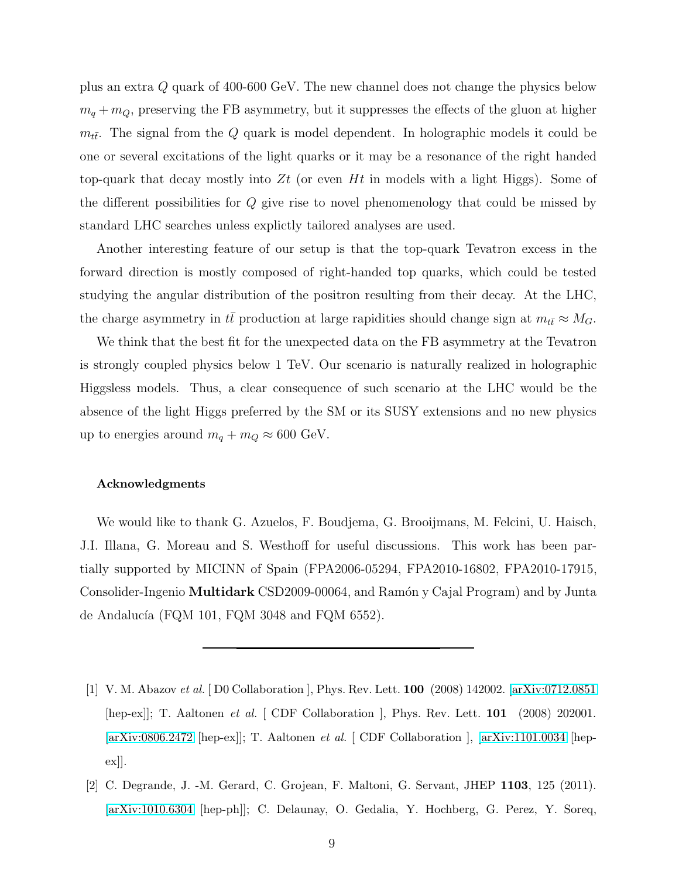plus an extra Q quark of 400-600 GeV. The new channel does not change the physics below  $m_q + m_Q$ , preserving the FB asymmetry, but it suppresses the effects of the gluon at higher  $m_{t\bar{t}}$ . The signal from the Q quark is model dependent. In holographic models it could be one or several excitations of the light quarks or it may be a resonance of the right handed top-quark that decay mostly into  $Zt$  (or even Ht in models with a light Higgs). Some of the different possibilities for Q give rise to novel phenomenology that could be missed by standard LHC searches unless explictly tailored analyses are used.

Another interesting feature of our setup is that the top-quark Tevatron excess in the forward direction is mostly composed of right-handed top quarks, which could be tested studying the angular distribution of the positron resulting from their decay. At the LHC, the charge asymmetry in  $t\bar{t}$  production at large rapidities should change sign at  $m_{t\bar{t}} \approx M_G$ .

We think that the best fit for the unexpected data on the FB asymmetry at the Tevatron is strongly coupled physics below 1 TeV. Our scenario is naturally realized in holographic Higgsless models. Thus, a clear consequence of such scenario at the LHC would be the absence of the light Higgs preferred by the SM or its SUSY extensions and no new physics up to energies around  $m_q + m_Q \approx 600$  GeV.

## Acknowledgments

We would like to thank G. Azuelos, F. Boudjema, G. Brooijmans, M. Felcini, U. Haisch, J.I. Illana, G. Moreau and S. Westhoff for useful discussions. This work has been partially supported by MICINN of Spain (FPA2006-05294, FPA2010-16802, FPA2010-17915, Consolider-Ingenio **Multidark** CSD2009-00064, and Ramón y Cajal Program) and by Junta de Andalucía (FQM 101, FQM 3048 and FQM 6552).

- <span id="page-8-0"></span>[1] V. M. Abazov et al. [ D0 Collaboration ], Phys. Rev. Lett. 100 (2008) 142002. [\[arXiv:0712.0851](http://arxiv.org/abs/0712.0851) [hep-ex]]; T. Aaltonen et al. [ CDF Collaboration ], Phys. Rev. Lett. 101 (2008) 202001.  $[\text{arXiv:0806.2472} \text{ [hep-ex]}];$  T. Aaltonen *et al.* [CDF Collaboration ],  $[\text{arXiv:1101.0034} \text{ [hep-ex]}];$ ex]].
- <span id="page-8-1"></span>[2] C. Degrande, J. -M. Gerard, C. Grojean, F. Maltoni, G. Servant, JHEP 1103, 125 (2011). [\[arXiv:1010.6304](http://arxiv.org/abs/1010.6304) [hep-ph]]; C. Delaunay, O. Gedalia, Y. Hochberg, G. Perez, Y. Soreq,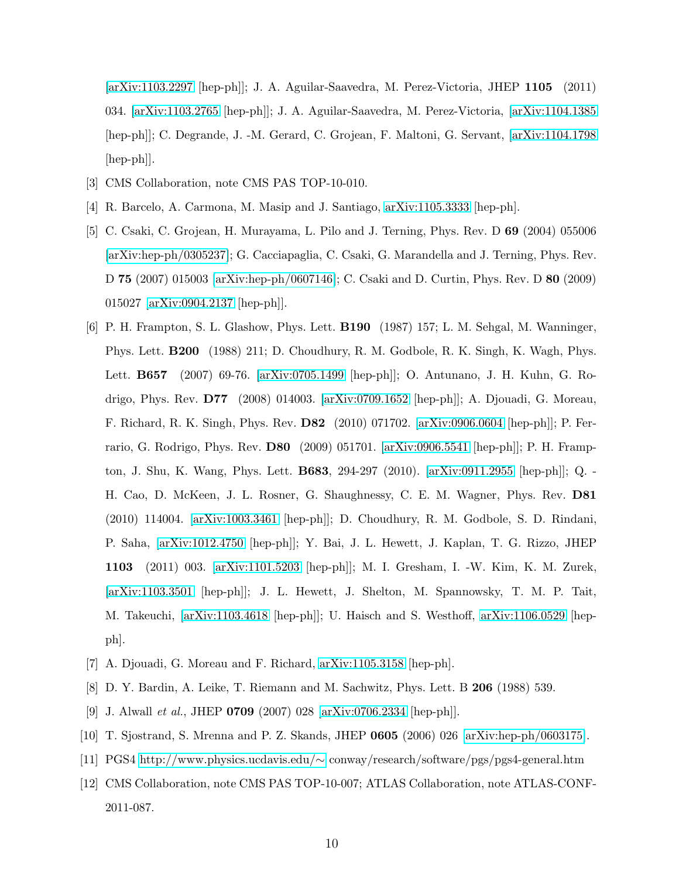[\[arXiv:1103.2297](http://arxiv.org/abs/1103.2297) [hep-ph]]; J. A. Aguilar-Saavedra, M. Perez-Victoria, JHEP 1105 (2011) 034. [\[arXiv:1103.2765](http://arxiv.org/abs/1103.2765) [hep-ph]]; J. A. Aguilar-Saavedra, M. Perez-Victoria, [\[arXiv:1104.1385](http://arxiv.org/abs/1104.1385) [hep-ph]]; C. Degrande, J. -M. Gerard, C. Grojean, F. Maltoni, G. Servant, [\[arXiv:1104.1798](http://arxiv.org/abs/1104.1798) [hep-ph]].

- <span id="page-9-1"></span><span id="page-9-0"></span>[3] CMS Collaboration, note CMS PAS TOP-10-010.
- <span id="page-9-2"></span>[4] R. Barcelo, A. Carmona, M. Masip and J. Santiago, [arXiv:1105.3333](http://arxiv.org/abs/1105.3333) [hep-ph].
- [5] C. Csaki, C. Grojean, H. Murayama, L. Pilo and J. Terning, Phys. Rev. D 69 (2004) 055006 [\[arXiv:hep-ph/0305237\]](http://arxiv.org/abs/hep-ph/0305237); G. Cacciapaglia, C. Csaki, G. Marandella and J. Terning, Phys. Rev. D 75 (2007) 015003 [\[arXiv:hep-ph/0607146\]](http://arxiv.org/abs/hep-ph/0607146); C. Csaki and D. Curtin, Phys. Rev. D 80 (2009) 015027 [\[arXiv:0904.2137](http://arxiv.org/abs/0904.2137) [hep-ph]].
- <span id="page-9-5"></span>[6] P. H. Frampton, S. L. Glashow, Phys. Lett. B190 (1987) 157; L. M. Sehgal, M. Wanninger, Phys. Lett. B200 (1988) 211; D. Choudhury, R. M. Godbole, R. K. Singh, K. Wagh, Phys. Lett. B657 (2007) 69-76. [\[arXiv:0705.1499](http://arxiv.org/abs/0705.1499) [hep-ph]]; O. Antunano, J. H. Kuhn, G. Rodrigo, Phys. Rev. D77 (2008) 014003. [\[arXiv:0709.1652](http://arxiv.org/abs/0709.1652) [hep-ph]]; A. Djouadi, G. Moreau, F. Richard, R. K. Singh, Phys. Rev. D82 (2010) 071702. [\[arXiv:0906.0604](http://arxiv.org/abs/0906.0604) [hep-ph]]; P. Ferrario, G. Rodrigo, Phys. Rev. D80 (2009) 051701. [\[arXiv:0906.5541](http://arxiv.org/abs/0906.5541) [hep-ph]]; P. H. Frampton, J. Shu, K. Wang, Phys. Lett. B683, 294-297 (2010). [\[arXiv:0911.2955](http://arxiv.org/abs/0911.2955) [hep-ph]]; Q. - H. Cao, D. McKeen, J. L. Rosner, G. Shaughnessy, C. E. M. Wagner, Phys. Rev. D81 (2010) 114004. [\[arXiv:1003.3461](http://arxiv.org/abs/1003.3461) [hep-ph]]; D. Choudhury, R. M. Godbole, S. D. Rindani, P. Saha, [\[arXiv:1012.4750](http://arxiv.org/abs/1012.4750) [hep-ph]]; Y. Bai, J. L. Hewett, J. Kaplan, T. G. Rizzo, JHEP 1103 (2011) 003. [\[arXiv:1101.5203](http://arxiv.org/abs/1101.5203) [hep-ph]]; M. I. Gresham, I. -W. Kim, K. M. Zurek, [\[arXiv:1103.3501](http://arxiv.org/abs/1103.3501) [hep-ph]]; J. L. Hewett, J. Shelton, M. Spannowsky, T. M. P. Tait, M. Takeuchi, [\[arXiv:1103.4618](http://arxiv.org/abs/1103.4618) [hep-ph]]; U. Haisch and S. Westhoff, [arXiv:1106.0529](http://arxiv.org/abs/1106.0529) [hepph].
- <span id="page-9-3"></span>[7] A. Djouadi, G. Moreau and F. Richard, [arXiv:1105.3158](http://arxiv.org/abs/1105.3158) [hep-ph].
- <span id="page-9-4"></span>[8] D. Y. Bardin, A. Leike, T. Riemann and M. Sachwitz, Phys. Lett. B 206 (1988) 539.
- <span id="page-9-6"></span>[9] J. Alwall et al., JHEP 0709 (2007) 028 [\[arXiv:0706.2334](http://arxiv.org/abs/0706.2334) [hep-ph]].
- <span id="page-9-7"></span>[10] T. Sjostrand, S. Mrenna and P. Z. Skands, JHEP 0605 (2006) 026 [\[arXiv:hep-ph/0603175\]](http://arxiv.org/abs/hep-ph/0603175).
- <span id="page-9-8"></span>[11] PGS4 [http://www.physics.ucdavis.edu/](http://www.physics.ucdavis.edu/~)∼ conway/research/software/pgs/pgs4-general.htm
- <span id="page-9-9"></span>[12] CMS Collaboration, note CMS PAS TOP-10-007; ATLAS Collaboration, note ATLAS-CONF-2011-087.